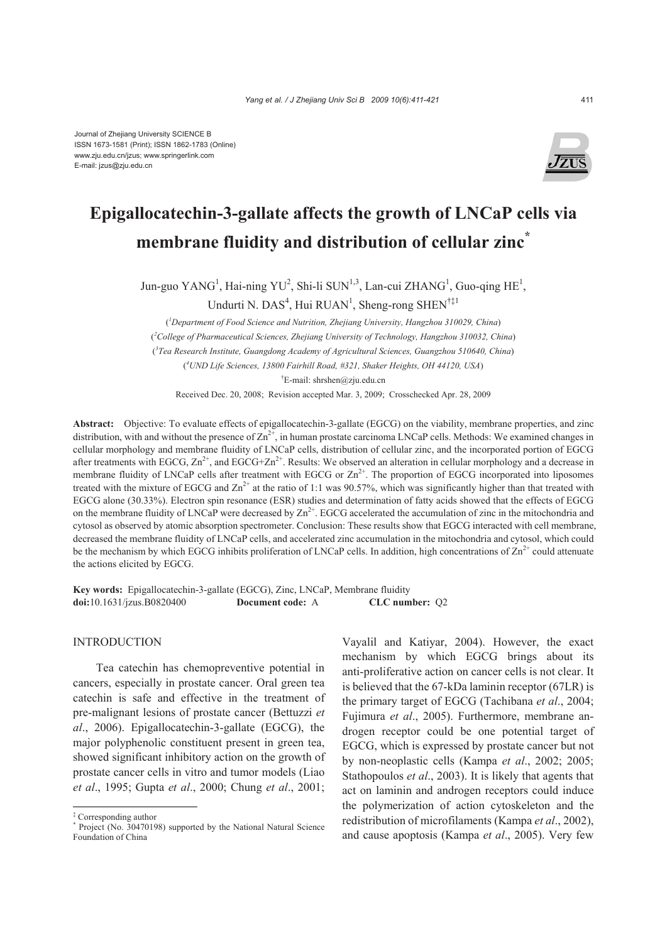

# **Epigallocatechin-3-gallate affects the growth of LNCaP cells via membrane fluidity and distribution of cellular zinc\***

Jun-guo YANG<sup>1</sup>, Hai-ning YU<sup>2</sup>, Shi-li SUN<sup>1,3</sup>, Lan-cui ZHANG<sup>1</sup>, Guo-qing HE<sup>1</sup>, Undurti N. DAS<sup>4</sup>, Hui RUAN<sup>1</sup>, Sheng-rong SHEN<sup>†‡1</sup>

( *1 Department of Food Science and Nutrition, Zhejiang University, Hangzhou 310029, China*) ( *2 College of Pharmaceutical Sciences, Zhejiang University of Technology, Hangzhou 310032, China*) ( *3 Tea Research Institute, Guangdong Academy of Agricultural Sciences, Guangzhou 510640, China*) ( *4 UND Life Sciences, 13800 Fairhill Road, #321, Shaker Heights, OH 44120, USA*) † E-mail: shrshen@zju.edu.cn

Received Dec. 20, 2008; Revision accepted Mar. 3, 2009; Crosschecked Apr. 28, 2009

**Abstract:** Objective: To evaluate effects of epigallocatechin-3-gallate (EGCG) on the viability, membrane properties, and zinc distribution, with and without the presence of  $Zn^{2+}$ , in human prostate carcinoma LNCaP cells. Methods: We examined changes in cellular morphology and membrane fluidity of LNCaP cells, distribution of cellular zinc, and the incorporated portion of EGCG after treatments with EGCG,  $\text{Zn}^{2+}$ , and EGCG+ $\text{Zn}^{2+}$ . Results: We observed an alteration in cellular morphology and a decrease in membrane fluidity of LNCaP cells after treatment with EGCG or  $\text{Zn}^{2+}$ . The proportion of EGCG incorporated into liposomes treated with the mixture of EGCG and  $\text{Zn}^{2+}$  at the ratio of 1:1 was 90.57%, which was significantly higher than that treated with EGCG alone (30.33%). Electron spin resonance (ESR) studies and determination of fatty acids showed that the effects of EGCG on the membrane fluidity of LNCaP were decreased by  $\text{Zn}^{2+}$ . EGCG accelerated the accumulation of zinc in the mitochondria and cytosol as observed by atomic absorption spectrometer. Conclusion: These results show that EGCG interacted with cell membrane, decreased the membrane fluidity of LNCaP cells, and accelerated zinc accumulation in the mitochondria and cytosol, which could be the mechanism by which EGCG inhibits proliferation of LNCaP cells. In addition, high concentrations of  $\text{Zn}^{2+}$  could attenuate the actions elicited by EGCG.

**Key words:** Epigallocatechin-3-gallate (EGCG), Zinc, LNCaP, Membrane fluidity **doi:**10.1631/jzus.B0820400 **Document code:** A **CLC number:** Q2

### INTRODUCTION

Tea catechin has chemopreventive potential in cancers, especially in prostate cancer. Oral green tea catechin is safe and effective in the treatment of pre-malignant lesions of prostate cancer (Bettuzzi *et al*., 2006). Epigallocatechin-3-gallate (EGCG), the major polyphenolic constituent present in green tea, showed significant inhibitory action on the growth of prostate cancer cells in vitro and tumor models (Liao *et al*., 1995; Gupta *et al*., 2000; Chung *et al*., 2001; Vayalil and Katiyar, 2004). However, the exact mechanism by which EGCG brings about its anti-proliferative action on cancer cells is not clear. It is believed that the 67-kDa laminin receptor (67LR) is the primary target of EGCG (Tachibana *et al*., 2004; Fujimura *et al*., 2005). Furthermore, membrane androgen receptor could be one potential target of EGCG, which is expressed by prostate cancer but not by non-neoplastic cells (Kampa *et al*., 2002; 2005; Stathopoulos *et al*., 2003). It is likely that agents that act on laminin and androgen receptors could induce the polymerization of action cytoskeleton and the redistribution of microfilaments (Kampa *et al*., 2002), and cause apoptosis (Kampa *et al*., 2005). Very few

<sup>‡</sup> Corresponding author

<sup>\*</sup> Project (No. 30470198) supported by the National Natural Science Foundation of China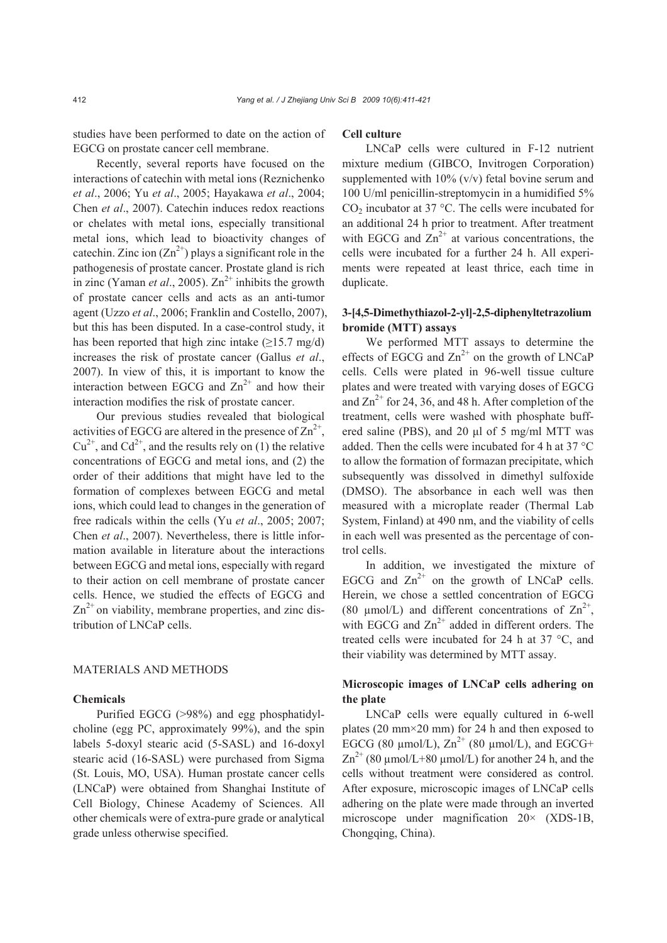studies have been performed to date on the action of EGCG on prostate cancer cell membrane.

Recently, several reports have focused on the interactions of catechin with metal ions (Reznichenko *et al*., 2006; Yu *et al*., 2005; Hayakawa *et al*., 2004; Chen *et al*., 2007). Catechin induces redox reactions or chelates with metal ions, especially transitional metal ions, which lead to bioactivity changes of catechin. Zinc ion  $(Zn^{2+})$  plays a significant role in the pathogenesis of prostate cancer. Prostate gland is rich in zinc (Yaman *et al.*, 2005).  $Zn^{2+}$  inhibits the growth of prostate cancer cells and acts as an anti-tumor agent (Uzzo *et al*., 2006; Franklin and Costello, 2007), but this has been disputed. In a case-control study, it has been reported that high zinc intake  $(\geq 15.7 \text{ mg/d})$ increases the risk of prostate cancer (Gallus *et al*., 2007). In view of this, it is important to know the interaction between EGCG and  $\text{Zn}^{2+}$  and how their interaction modifies the risk of prostate cancer.

Our previous studies revealed that biological activities of EGCG are altered in the presence of  $\text{Zn}^{2+}$ ,  $Cu^{2+}$ , and  $Cd^{2+}$ , and the results rely on (1) the relative concentrations of EGCG and metal ions, and (2) the order of their additions that might have led to the formation of complexes between EGCG and metal ions, which could lead to changes in the generation of free radicals within the cells (Yu *et al*., 2005; 2007; Chen *et al*., 2007). Nevertheless, there is little information available in literature about the interactions between EGCG and metal ions, especially with regard to their action on cell membrane of prostate cancer cells. Hence, we studied the effects of EGCG and  $\text{Zn}^{2+}$  on viability, membrane properties, and zinc distribution of LNCaP cells.

#### MATERIALS AND METHODS

#### **Chemicals**

Purified EGCG (>98%) and egg phosphatidylcholine (egg PC, approximately 99%), and the spin labels 5-doxyl stearic acid (5-SASL) and 16-doxyl stearic acid (16-SASL) were purchased from Sigma (St. Louis, MO, USA). Human prostate cancer cells (LNCaP) were obtained from Shanghai Institute of Cell Biology, Chinese Academy of Sciences. All other chemicals were of extra-pure grade or analytical grade unless otherwise specified.

#### **Cell culture**

LNCaP cells were cultured in F-12 nutrient mixture medium (GIBCO, Invitrogen Corporation) supplemented with  $10\%$  (v/v) fetal bovine serum and 100 U/ml penicillin-streptomycin in a humidified 5%  $CO<sub>2</sub>$  incubator at 37 °C. The cells were incubated for an additional 24 h prior to treatment. After treatment with EGCG and  $\text{Zn}^{2+}$  at various concentrations, the cells were incubated for a further 24 h. All experiments were repeated at least thrice, each time in duplicate.

# **3-[4,5-Dimethythiazol-2-yl]-2,5-diphenyltetrazolium bromide (MTT) assays**

We performed MTT assays to determine the effects of EGCG and  $\text{Zn}^{2+}$  on the growth of LNCaP cells. Cells were plated in 96-well tissue culture plates and were treated with varying doses of EGCG and  $\text{Zn}^{2+}$  for 24, 36, and 48 h. After completion of the treatment, cells were washed with phosphate buffered saline (PBS), and 20 μl of 5 mg/ml MTT was added. Then the cells were incubated for 4 h at 37 °C to allow the formation of formazan precipitate, which subsequently was dissolved in dimethyl sulfoxide (DMSO). The absorbance in each well was then measured with a microplate reader (Thermal Lab System, Finland) at 490 nm, and the viability of cells in each well was presented as the percentage of control cells.

In addition, we investigated the mixture of EGCG and  $\text{Zn}^{2+}$  on the growth of LNCaP cells. Herein, we chose a settled concentration of EGCG (80 µmol/L) and different concentrations of  $\text{Zn}^{2+}$ , with EGCG and  $\text{Zn}^{2+}$  added in different orders. The treated cells were incubated for 24 h at 37 °C, and their viability was determined by MTT assay.

## **Microscopic images of LNCaP cells adhering on the plate**

LNCaP cells were equally cultured in 6-well plates (20 mm $\times$ 20 mm) for 24 h and then exposed to EGCG (80  $\mu$ mol/L),  $\text{Zn}^{2+}$  (80  $\mu$ mol/L), and EGCG+  $\text{Zn}^{2+}$  (80 µmol/L+80 µmol/L) for another 24 h, and the cells without treatment were considered as control. After exposure, microscopic images of LNCaP cells adhering on the plate were made through an inverted microscope under magnification  $20 \times (XDS-1B)$ , Chongqing, China).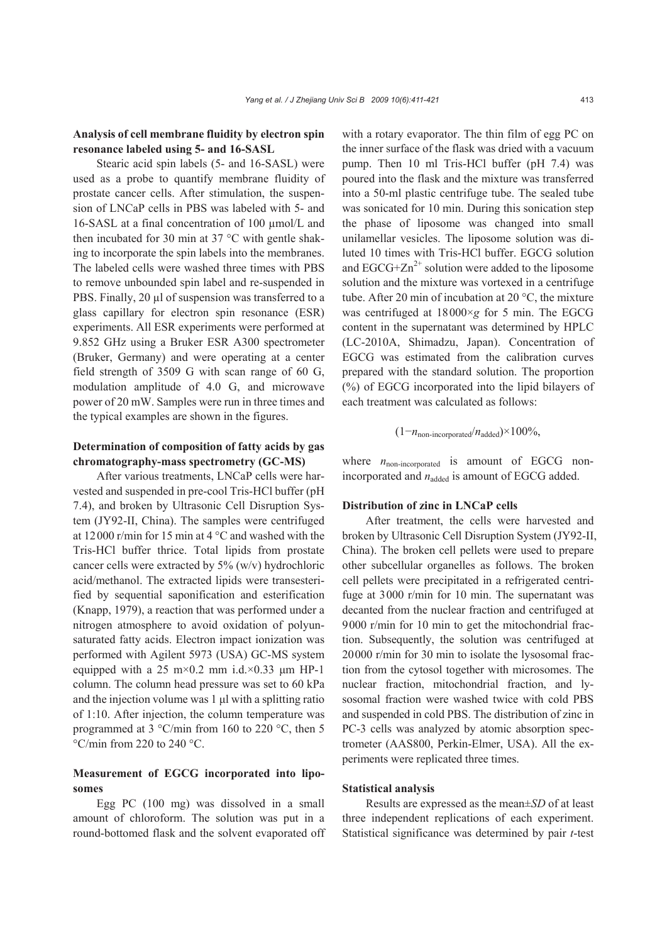# **Analysis of cell membrane fluidity by electron spin resonance labeled using 5- and 16-SASL**

Stearic acid spin labels (5- and 16-SASL) were used as a probe to quantify membrane fluidity of prostate cancer cells. After stimulation, the suspension of LNCaP cells in PBS was labeled with 5- and 16-SASL at a final concentration of 100 µmol/L and then incubated for 30 min at 37 °C with gentle shaking to incorporate the spin labels into the membranes. The labeled cells were washed three times with PBS to remove unbounded spin label and re-suspended in PBS. Finally, 20 µl of suspension was transferred to a glass capillary for electron spin resonance (ESR) experiments. All ESR experiments were performed at 9.852 GHz using a Bruker ESR A300 spectrometer (Bruker, Germany) and were operating at a center field strength of 3509 G with scan range of 60 G, modulation amplitude of 4.0 G, and microwave power of 20 mW. Samples were run in three times and the typical examples are shown in the figures.

# **Determination of composition of fatty acids by gas chromatography-mass spectrometry (GC-MS)**

After various treatments, LNCaP cells were harvested and suspended in pre-cool Tris-HCl buffer (pH 7.4), and broken by Ultrasonic Cell Disruption System (JY92-II, China). The samples were centrifuged at 12000 r/min for 15 min at 4 °C and washed with the Tris-HCl buffer thrice. Total lipids from prostate cancer cells were extracted by 5% (w/v) hydrochloric acid/methanol. The extracted lipids were transesterified by sequential saponification and esterification (Knapp, 1979), a reaction that was performed under a nitrogen atmosphere to avoid oxidation of polyunsaturated fatty acids. Electron impact ionization was performed with Agilent 5973 (USA) GC-MS system equipped with a 25 m×0.2 mm i.d.×0.33  $\mu$ m HP-1 column. The column head pressure was set to 60 kPa and the injection volume was 1 μl with a splitting ratio of 1:10. After injection, the column temperature was programmed at 3 °C/min from 160 to 220 °C, then 5  $\degree$ C/min from 220 to 240  $\degree$ C.

# **Measurement of EGCG incorporated into liposomes**

Egg PC (100 mg) was dissolved in a small amount of chloroform. The solution was put in a round-bottomed flask and the solvent evaporated off with a rotary evaporator. The thin film of egg PC on the inner surface of the flask was dried with a vacuum pump. Then 10 ml Tris-HCl buffer (pH 7.4) was poured into the flask and the mixture was transferred into a 50-ml plastic centrifuge tube. The sealed tube was sonicated for 10 min. During this sonication step the phase of liposome was changed into small unilamellar vesicles. The liposome solution was diluted 10 times with Tris-HCl buffer. EGCG solution and  $EGCG+Zn^{2+}$  solution were added to the liposome solution and the mixture was vortexed in a centrifuge tube. After 20 min of incubation at 20 °C, the mixture was centrifuged at 18000×*g* for 5 min. The EGCG content in the supernatant was determined by HPLC (LC-2010A, Shimadzu, Japan). Concentration of EGCG was estimated from the calibration curves prepared with the standard solution. The proportion (%) of EGCG incorporated into the lipid bilayers of each treatment was calculated as follows:

## $(1-n_{\text{non-incorporated}}/n_{\text{added}}) \times 100\%,$

where  $n_{non-incorporated}$  is amount of EGCG nonincorporated and  $n_{\text{added}}$  is amount of EGCG added.

#### **Distribution of zinc in LNCaP cells**

After treatment, the cells were harvested and broken by Ultrasonic Cell Disruption System (JY92-II, China). The broken cell pellets were used to prepare other subcellular organelles as follows. The broken cell pellets were precipitated in a refrigerated centrifuge at 3000 r/min for 10 min. The supernatant was decanted from the nuclear fraction and centrifuged at 9000 r/min for 10 min to get the mitochondrial fraction. Subsequently, the solution was centrifuged at 20000 r/min for 30 min to isolate the lysosomal fraction from the cytosol together with microsomes. The nuclear fraction, mitochondrial fraction, and lysosomal fraction were washed twice with cold PBS and suspended in cold PBS. The distribution of zinc in PC-3 cells was analyzed by atomic absorption spectrometer (AAS800, Perkin-Elmer, USA). All the experiments were replicated three times.

### **Statistical analysis**

Results are expressed as the mean±*SD* of at least three independent replications of each experiment. Statistical significance was determined by pair *t*-test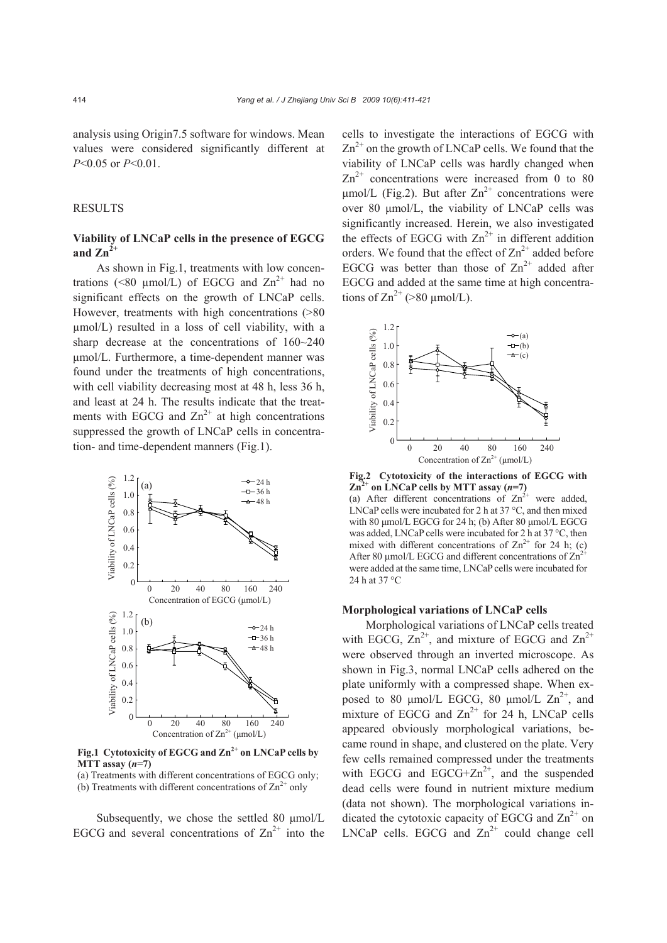analysis using Origin7.5 software for windows. Mean values were considered significantly different at *P*<0.05 or *P*<0.01.

#### RESULTS

# **Viability of LNCaP cells in the presence of EGCG**  and  $\mathbf{Zn}^2$

As shown in Fig.1, treatments with low concentrations (<80 µmol/L) of EGCG and  $\text{Zn}^{2+}$  had no significant effects on the growth of LNCaP cells. However, treatments with high concentrations (>80 µmol/L) resulted in a loss of cell viability, with a sharp decrease at the concentrations of 160~240 μmol/L. Furthermore, a time-dependent manner was found under the treatments of high concentrations, with cell viability decreasing most at 48 h, less 36 h, and least at 24 h. The results indicate that the treatments with EGCG and  $\text{Zn}^{2+}$  at high concentrations suppressed the growth of LNCaP cells in concentration- and time-dependent manners (Fig.1).



**Fig.1 Cytotoxicity of EGCG and Zn2+ on LNCaP cells by MTT assay (***n***=7)** 

(a) Treatments with different concentrations of EGCG only; (b) Treatments with different concentrations of  $\text{Zn}^{2+}$  only

Subsequently, we chose the settled 80 μmol/L EGCG and several concentrations of  $\text{Zn}^{2+}$  into the cells to investigate the interactions of EGCG with  $\text{Zn}^{2+}$  on the growth of LNCaP cells. We found that the viability of LNCaP cells was hardly changed when  $\text{Zn}^{2+}$  concentrations were increased from 0 to 80 μmol/L (Fig.2). But after  $Zn^{2+}$  concentrations were over 80 μmol/L, the viability of LNCaP cells was significantly increased. Herein, we also investigated the effects of EGCG with  $\text{Zn}^{2+}$  in different addition orders. We found that the effect of  $\text{Zn}^{2+}$  added before EGCG was better than those of  $\text{Zn}^{2+}$  added after EGCG and added at the same time at high concentrations of  $\text{Zn}^{2+}$  (>80 µmol/L).



**Fig.2 Cytotoxicity of the interactions of EGCG with**   $\text{Zn}^2$ <sup>+</sup> on LNCaP cells by MTT assay (*n*=7) (a) After different concentrations of  $\text{Zn}^{2+}$  were added, LNCaP cells were incubated for 2 h at 37 °C, and then mixed with 80 μmol/L EGCG for 24 h; (b) After 80 μmol/L EGCG was added, LNCaP cells were incubated for 2 h at 37 °C, then mixed with different concentrations of  $\text{Zn}^{2+}$  for 24 h; (c) After 80  $\mu$ mol/L EGCG and different concentrations of  $\text{Zn}^{2+}$ were added at the same time, LNCaP cells were incubated for 24 h at 37 °C

#### **Morphological variations of LNCaP cells**

Morphological variations of LNCaP cells treated with EGCG,  $Zn^{2+}$ , and mixture of EGCG and  $Zn^{2+}$ were observed through an inverted microscope. As shown in Fig.3, normal LNCaP cells adhered on the plate uniformly with a compressed shape. When exposed to 80  $\mu$ mol/L EGCG, 80  $\mu$ mol/L  $\text{Zn}^{2+}$ , and mixture of EGCG and  $\text{Zn}^{2+}$  for 24 h, LNCaP cells appeared obviously morphological variations, became round in shape, and clustered on the plate. Very few cells remained compressed under the treatments with EGCG and EGCG+ $Zn^{2+}$ , and the suspended dead cells were found in nutrient mixture medium (data not shown). The morphological variations indicated the cytotoxic capacity of EGCG and  $\text{Zn}^{2+}$  on LNCaP cells. EGCG and  $\text{Zn}^{2+}$  could change cell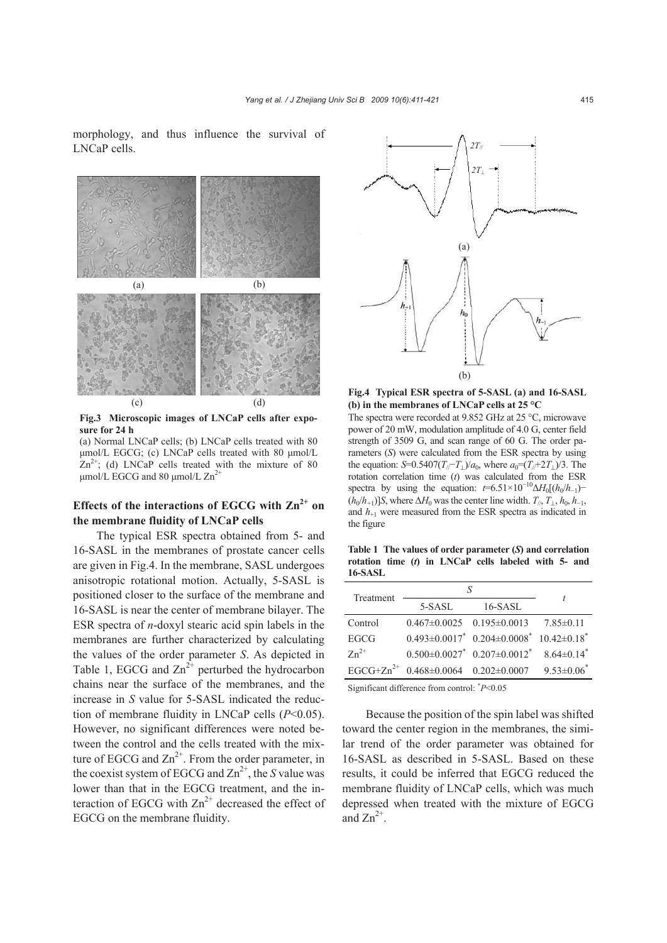morphology, and thus influence the survival of LNCaP cells.



**Fig.3 Microscopic images of LNCaP cells after exposure for 24 h** 

(a) Normal LNCaP cells; (b) LNCaP cells treated with 80 μmol/L EGCG; (c) LNCaP cells treated with 80 μmol/L  $Zn^{2+}$ ; (d) LNCaP cells treated with the mixture of 80 μmol/L EGCG and 80 μmol/L  $Zn^{2+}$ 

# Effects of the interactions of EGCG with  $\text{Zn}^{2+}$  on **the membrane fluidity of LNCaP cells**

The typical ESR spectra obtained from 5- and 16-SASL in the membranes of prostate cancer cells are given in Fig.4. In the membrane, SASL undergoes anisotropic rotational motion. Actually, 5-SASL is positioned closer to the surface of the membrane and 16-SASL is near the center of membrane bilayer. The ESR spectra of *n*-doxyl stearic acid spin labels in the membranes are further characterized by calculating the values of the order parameter *S*. As depicted in Table 1, EGCG and  $\text{Zn}^{2+}$  perturbed the hydrocarbon chains near the surface of the membranes, and the increase in *S* value for 5-SASL indicated the reduction of membrane fluidity in LNCaP cells (*P*<0.05). However, no significant differences were noted between the control and the cells treated with the mixture of EGCG and  $\text{Zn}^{2+}$ . From the order parameter, in the coexist system of EGCG and  $\text{Zn}^{2+}$ , the *S* value was lower than that in the EGCG treatment, and the interaction of EGCG with  $\text{Zn}^{2+}$  decreased the effect of EGCG on the membrane fluidity.



**Fig.4 Typical ESR spectra of 5-SASL (a) and 16-SASL (b) in the membranes of LNCaP cells at 25 °C** 

The spectra were recorded at 9.852 GHz at 25 °C, microwave power of 20 mW, modulation amplitude of 4.0 G, center field strength of 3509 G, and scan range of 60 G. The order parameters (*S*) were calculated from the ESR spectra by using the equation: *S*=0.5407( $T_{1}/-T_{1}/a_{0}$ , where  $a_{0}=(T_{1}/+2T_{1})/3$ . The rotation correlation time (*t*) was calculated from the ESR spectra by using the equation:  $t=6.51\times10^{-10}\Delta H_0[(h_0/h_{-1}) (h_0/h_{+1})$ ]*S*, where  $\Delta H_0$  was the center line width.  $T_{/l}$ ,  $T_{\perp}$ ,  $h_0$ ,  $h_{-1}$ , and  $h_{+1}$  were measured from the ESR spectra as indicated in the figure

**Table 1 The values of order parameter (***S***) and correlation rotation time (***t***) in LNCaP cells labeled with 5- and 16-SASL**

| Treatment   |                                                             |                                                        |                   |
|-------------|-------------------------------------------------------------|--------------------------------------------------------|-------------------|
|             | 5-SASL                                                      | $16$ -SASL                                             |                   |
| Control     |                                                             | $0.467 \pm 0.0025$ $0.195 \pm 0.0013$                  | $7.85\pm0.11$     |
| <b>EGCG</b> |                                                             | $0.493\pm0.0017^*$ $0.204\pm0.0008^*$ $10.42\pm0.18^*$ |                   |
| $Zn^{2+}$   |                                                             | $0.500\pm0.0027$ $0.207\pm0.0012$ $8.64\pm0.14$        |                   |
|             | EGCG+Zn <sup>2+</sup> $0.468 \pm 0.0064$ $0.202 \pm 0.0007$ |                                                        | $9.53 \pm 0.06^*$ |

Significant difference from control: \* *P*<0.05

Because the position of the spin label was shifted toward the center region in the membranes, the similar trend of the order parameter was obtained for 16-SASL as described in 5-SASL. Based on these results, it could be inferred that EGCG reduced the membrane fluidity of LNCaP cells, which was much depressed when treated with the mixture of EGCG and  $Zn^{2+}$ .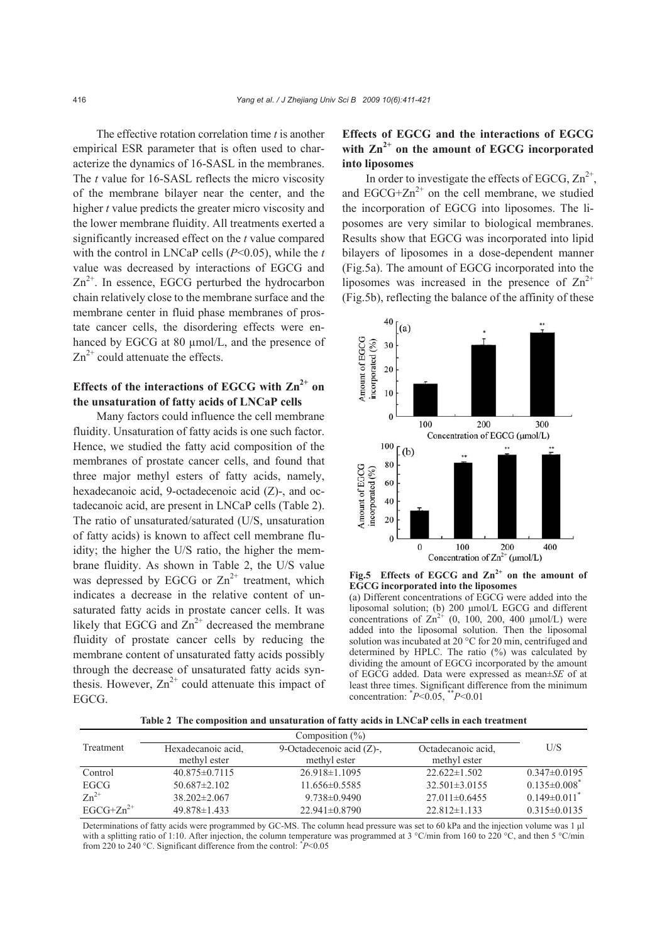The effective rotation correlation time *t* is another empirical ESR parameter that is often used to characterize the dynamics of 16-SASL in the membranes. The *t* value for 16-SASL reflects the micro viscosity of the membrane bilayer near the center, and the higher *t* value predicts the greater micro viscosity and the lower membrane fluidity. All treatments exerted a significantly increased effect on the *t* value compared with the control in LNCaP cells (*P*<0.05), while the *t* value was decreased by interactions of EGCG and  $Zn^{2+}$ . In essence, EGCG perturbed the hydrocarbon chain relatively close to the membrane surface and the membrane center in fluid phase membranes of prostate cancer cells, the disordering effects were enhanced by EGCG at 80 µmol/L, and the presence of  $\text{Zn}^{2+}$  could attenuate the effects.

# Effects of the interactions of EGCG with  $\text{Zn}^{2+}$  on **the unsaturation of fatty acids of LNCaP cells**

Many factors could influence the cell membrane fluidity. Unsaturation of fatty acids is one such factor. Hence, we studied the fatty acid composition of the membranes of prostate cancer cells, and found that three major methyl esters of fatty acids, namely, hexadecanoic acid, 9-octadecenoic acid (Z)-, and octadecanoic acid, are present in LNCaP cells (Table 2). The ratio of unsaturated/saturated (U/S, unsaturation of fatty acids) is known to affect cell membrane fluidity; the higher the U/S ratio, the higher the membrane fluidity. As shown in Table 2, the U/S value was depressed by EGCG or  $\text{Zn}^{2+}$  treatment, which indicates a decrease in the relative content of unsaturated fatty acids in prostate cancer cells. It was likely that EGCG and  $\text{Zn}^{2+}$  decreased the membrane fluidity of prostate cancer cells by reducing the membrane content of unsaturated fatty acids possibly through the decrease of unsaturated fatty acids synthesis. However,  $Zn^{2+}$  could attenuate this impact of EGCG.

# **Effects of EGCG and the interactions of EGCG**  with  $\text{Zn}^{2+}$  on the amount of EGCG incorporated **into liposomes**

In order to investigate the effects of EGCG,  $Zn^{2+}$ , and  $EGCG+Zn^{2+}$  on the cell membrane, we studied the incorporation of EGCG into liposomes. The liposomes are very similar to biological membranes. Results show that EGCG was incorporated into lipid bilayers of liposomes in a dose-dependent manner (Fig.5a). The amount of EGCG incorporated into the liposomes was increased in the presence of  $\text{Zn}^{2+}$ (Fig.5b), reflecting the balance of the affinity of these



Fig.5 Effects of EGCG and  $\text{Zn}^{2+}$  on the amount of **EGCG incorporated into the liposomes** 

(a) Different concentrations of EGCG were added into the liposomal solution; (b) 200 μmol/L EGCG and different concentrations of  $\text{Zn}^{2+}$  (0, 100, 200, 400 μmol/L) were added into the liposomal solution. Then the liposomal solution was incubated at 20 °C for 20 min, centrifuged and determined by HPLC. The ratio (%) was calculated by dividing the amount of EGCG incorporated by the amount of EGCG added. Data were expressed as mean±*SE* of at least three times. Significant difference from the minimum concentration: \* *P*<0.05, \*\**P*<0.01

**Table 2 The composition and unsaturation of fatty acids in LNCaP cells in each treatment** 

| Treatment      | Hexadecanoic acid.  | 9-Octadecenoic acid $(Z)$ -, | Octadecanoic acid.  | U/S                            |
|----------------|---------------------|------------------------------|---------------------|--------------------------------|
|                | methyl ester        | methyl ester                 | methyl ester        |                                |
| Control        | $40.875 \pm 0.7115$ | $26.918 \pm 1.1095$          | $22.622 \pm 1.502$  | $0.347\pm0.0195$               |
| EGCG           | $50.687 \pm 2.102$  | $11.656 \pm 0.5585$          | $32.501 \pm 3.0155$ | $0.135 \pm 0.008$ <sup>*</sup> |
| $Zn^{2+}$      | $38.202 \pm 2.067$  | $9.738 \pm 0.9490$           | $27.011 \pm 0.6455$ | $0.149\pm0.011$ <sup>*</sup>   |
| $EGCG+Zn^{2+}$ | $49.878 \pm 1.433$  | $22.941 \pm 0.8790$          | $22.812 \pm 1.133$  | $0.315 \pm 0.0135$             |

Determinations of fatty acids were programmed by GC-MS. The column head pressure was set to 60 kPa and the injection volume was 1 μl with a splitting ratio of 1:10. After injection, the column temperature was programmed at 3 °C/min from 160 to 220 °C, and then 5 °C/min from 220 to 240 °C. Significant difference from the control: \* *P*<0.05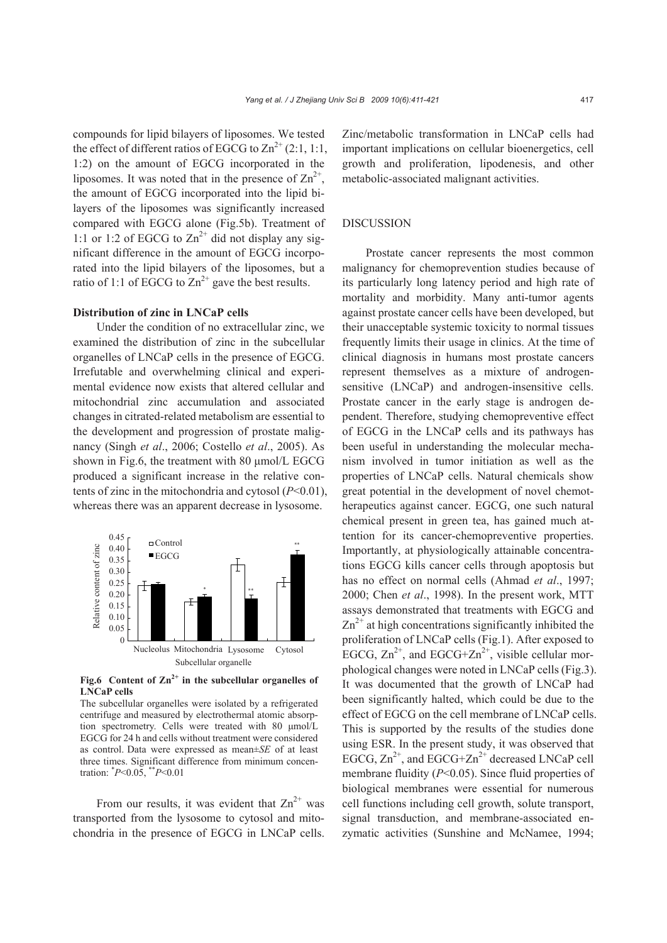compounds for lipid bilayers of liposomes. We tested the effect of different ratios of EGCG to  $\text{Zn}^{2+}$  (2:1, 1:1, 1:2) on the amount of EGCG incorporated in the liposomes. It was noted that in the presence of  $\text{Zn}^{2+}$ , the amount of EGCG incorporated into the lipid bilayers of the liposomes was significantly increased compared with EGCG alone (Fig.5b). Treatment of 1:1 or 1:2 of EGCG to  $\text{Zn}^{2+}$  did not display any significant difference in the amount of EGCG incorporated into the lipid bilayers of the liposomes, but a ratio of 1:1 of EGCG to  $\text{Zn}^{2+}$  gave the best results.

# **Distribution of zinc in LNCaP cells**

Under the condition of no extracellular zinc, we examined the distribution of zinc in the subcellular organelles of LNCaP cells in the presence of EGCG. Irrefutable and overwhelming clinical and experimental evidence now exists that altered cellular and mitochondrial zinc accumulation and associated changes in citrated-related metabolism are essential to the development and progression of prostate malignancy (Singh *et al*., 2006; Costello *et al*., 2005). As shown in Fig.6, the treatment with 80 μmol/L EGCG produced a significant increase in the relative contents of zinc in the mitochondria and cytosol (*P*<0.01), whereas there was an apparent decrease in lysosome.



**Fig.6** Content of  $\text{Zn}^{2+}$  in the subcellular organelles of **LNCaP cells** 

The subcellular organelles were isolated by a refrigerated centrifuge and measured by electrothermal atomic absorption spectrometry. Cells were treated with 80 μmol/L EGCG for 24 h and cells without treatment were considered as control. Data were expressed as mean±*SE* of at least three times. Significant difference from minimum concentration: \* *P*<0.05, \*\**P*<0.01

From our results, it was evident that  $\text{Zn}^{2+}$  was transported from the lysosome to cytosol and mitochondria in the presence of EGCG in LNCaP cells.

Zinc/metabolic transformation in LNCaP cells had important implications on cellular bioenergetics, cell growth and proliferation, lipodenesis, and other metabolic-associated malignant activities.

#### DISCUSSION

Prostate cancer represents the most common malignancy for chemoprevention studies because of its particularly long latency period and high rate of mortality and morbidity. Many anti-tumor agents against prostate cancer cells have been developed, but their unacceptable systemic toxicity to normal tissues frequently limits their usage in clinics. At the time of clinical diagnosis in humans most prostate cancers represent themselves as a mixture of androgensensitive (LNCaP) and androgen-insensitive cells. Prostate cancer in the early stage is androgen dependent. Therefore, studying chemopreventive effect of EGCG in the LNCaP cells and its pathways has been useful in understanding the molecular mechanism involved in tumor initiation as well as the properties of LNCaP cells. Natural chemicals show great potential in the development of novel chemotherapeutics against cancer. EGCG, one such natural chemical present in green tea, has gained much attention for its cancer-chemopreventive properties. Importantly, at physiologically attainable concentrations EGCG kills cancer cells through apoptosis but has no effect on normal cells (Ahmad *et al*., 1997; 2000; Chen *et al*., 1998). In the present work, MTT assays demonstrated that treatments with EGCG and  $\text{Zn}^{2+}$  at high concentrations significantly inhibited the proliferation of LNCaP cells (Fig.1). After exposed to EGCG,  $\text{Zn}^{2+}$ , and EGCG+ $\text{Zn}^{2+}$ , visible cellular morphological changes were noted in LNCaP cells (Fig.3). It was documented that the growth of LNCaP had been significantly halted, which could be due to the effect of EGCG on the cell membrane of LNCaP cells. This is supported by the results of the studies done using ESR. In the present study, it was observed that EGCG,  $Zn^{2+}$ , and EGCG+ $Zn^{2+}$  decreased LNCaP cell membrane fluidity (*P*<0.05). Since fluid properties of biological membranes were essential for numerous cell functions including cell growth, solute transport, signal transduction, and membrane-associated enzymatic activities (Sunshine and McNamee, 1994;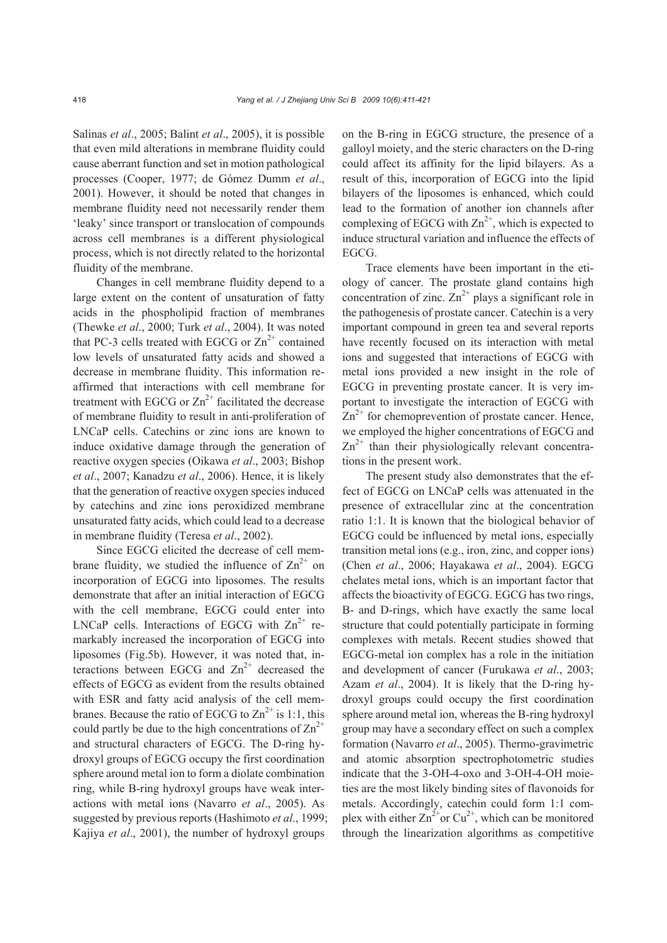Salinas *et al*., 2005; Balint *et al*., 2005), it is possible that even mild alterations in membrane fluidity could cause aberrant function and set in motion pathological processes (Cooper, 1977; de Gómez Dumm *et al*., 2001). However, it should be noted that changes in membrane fluidity need not necessarily render them 'leaky' since transport or translocation of compounds across cell membranes is a different physiological process, which is not directly related to the horizontal fluidity of the membrane.

Changes in cell membrane fluidity depend to a large extent on the content of unsaturation of fatty acids in the phospholipid fraction of membranes (Thewke *et al*., 2000; Turk *et al*., 2004). It was noted that PC-3 cells treated with EGCG or  $\text{Zn}^{2+}$  contained low levels of unsaturated fatty acids and showed a decrease in membrane fluidity. This information reaffirmed that interactions with cell membrane for treatment with EGCG or  $\text{Zn}^{2+}$  facilitated the decrease of membrane fluidity to result in anti-proliferation of LNCaP cells. Catechins or zinc ions are known to induce oxidative damage through the generation of reactive oxygen species (Oikawa *et al*., 2003; Bishop *et al*., 2007; Kanadzu *et al*., 2006). Hence, it is likely that the generation of reactive oxygen species induced by catechins and zinc ions peroxidized membrane unsaturated fatty acids, which could lead to a decrease in membrane fluidity (Teresa *et al*., 2002).

Since EGCG elicited the decrease of cell membrane fluidity, we studied the influence of  $\text{Zn}^{2+}$  on incorporation of EGCG into liposomes. The results demonstrate that after an initial interaction of EGCG with the cell membrane, EGCG could enter into LNCaP cells. Interactions of EGCG with  $Zn^{2+}$  remarkably increased the incorporation of EGCG into liposomes (Fig.5b). However, it was noted that, interactions between EGCG and  $\text{Zn}^{2+}$  decreased the effects of EGCG as evident from the results obtained with ESR and fatty acid analysis of the cell membranes. Because the ratio of EGCG to  $\text{Zn}^{2+}$  is 1:1, this could partly be due to the high concentrations of  $\text{Zn}^{2+}$ and structural characters of EGCG. The D-ring hydroxyl groups of EGCG occupy the first coordination sphere around metal ion to form a diolate combination ring, while B-ring hydroxyl groups have weak interactions with metal ions (Navarro *et al*., 2005). As suggested by previous reports (Hashimoto *et al*., 1999; Kajiya *et al*., 2001), the number of hydroxyl groups

on the B-ring in EGCG structure, the presence of a galloyl moiety, and the steric characters on the D-ring could affect its affinity for the lipid bilayers. As a result of this, incorporation of EGCG into the lipid bilayers of the liposomes is enhanced, which could lead to the formation of another ion channels after complexing of EGCG with  $\text{Zn}^{2+}$ , which is expected to induce structural variation and influence the effects of EGCG.

Trace elements have been important in the etiology of cancer. The prostate gland contains high concentration of zinc.  $Zn^{2+}$  plays a significant role in the pathogenesis of prostate cancer. Catechin is a very important compound in green tea and several reports have recently focused on its interaction with metal ions and suggested that interactions of EGCG with metal ions provided a new insight in the role of EGCG in preventing prostate cancer. It is very important to investigate the interaction of EGCG with  $\text{Zn}^{2+}$  for chemoprevention of prostate cancer. Hence, we employed the higher concentrations of EGCG and  $\text{Zn}^{2+}$  than their physiologically relevant concentrations in the present work.

The present study also demonstrates that the effect of EGCG on LNCaP cells was attenuated in the presence of extracellular zinc at the concentration ratio 1:1. It is known that the biological behavior of EGCG could be influenced by metal ions, especially transition metal ions (e.g., iron, zinc, and copper ions) (Chen *et al*., 2006; Hayakawa *et al*., 2004). EGCG chelates metal ions, which is an important factor that affects the bioactivity of EGCG. EGCG has two rings, B- and D-rings, which have exactly the same local structure that could potentially participate in forming complexes with metals. Recent studies showed that EGCG-metal ion complex has a role in the initiation and development of cancer (Furukawa *et al*., 2003; Azam *et al*., 2004). It is likely that the D-ring hydroxyl groups could occupy the first coordination sphere around metal ion, whereas the B-ring hydroxyl group may have a secondary effect on such a complex formation (Navarro *et al*., 2005). Thermo-gravimetric and atomic absorption spectrophotometric studies indicate that the 3-OH-4-oxo and 3-OH-4-OH moieties are the most likely binding sites of flavonoids for metals. Accordingly, catechin could form 1:1 complex with either  $Zn^{2+}$  or  $Cu^{2+}$ , which can be monitored through the linearization algorithms as competitive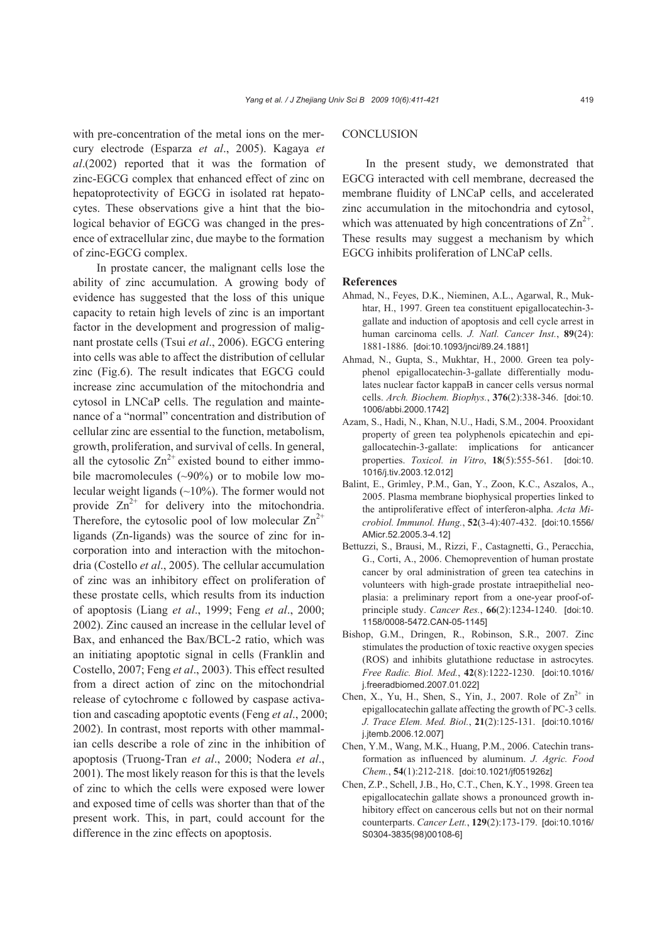with pre-concentration of the metal ions on the mercury electrode (Esparza *et al*., 2005). Kagaya *et al*.(2002) reported that it was the formation of zinc-EGCG complex that enhanced effect of zinc on hepatoprotectivity of EGCG in isolated rat hepatocytes. These observations give a hint that the biological behavior of EGCG was changed in the presence of extracellular zinc, due maybe to the formation of zinc-EGCG complex.

In prostate cancer, the malignant cells lose the ability of zinc accumulation. A growing body of evidence has suggested that the loss of this unique capacity to retain high levels of zinc is an important factor in the development and progression of malignant prostate cells (Tsui *et al*., 2006). EGCG entering into cells was able to affect the distribution of cellular zinc (Fig.6). The result indicates that EGCG could increase zinc accumulation of the mitochondria and cytosol in LNCaP cells. The regulation and maintenance of a "normal" concentration and distribution of cellular zinc are essential to the function, metabolism, growth, proliferation, and survival of cells. In general, all the cytosolic  $Zn^{2+}$  existed bound to either immobile macromolecules  $(\sim 90\%)$  or to mobile low molecular weight ligands (~10%). The former would not provide  $Zn^{2+}$  for delivery into the mitochondria. Therefore, the cytosolic pool of low molecular  $\text{Zn}^{2+}$ ligands (Zn-ligands) was the source of zinc for incorporation into and interaction with the mitochondria (Costello *et al*., 2005). The cellular accumulation of zinc was an inhibitory effect on proliferation of these prostate cells, which results from its induction of apoptosis (Liang *et al*., 1999; Feng *et al*., 2000; 2002). Zinc caused an increase in the cellular level of Bax, and enhanced the Bax/BCL-2 ratio, which was an initiating apoptotic signal in cells (Franklin and Costello, 2007; Feng *et al*., 2003). This effect resulted from a direct action of zinc on the mitochondrial release of cytochrome c followed by caspase activation and cascading apoptotic events (Feng *et al*., 2000; 2002). In contrast, most reports with other mammalian cells describe a role of zinc in the inhibition of apoptosis (Truong-Tran *et al*., 2000; Nodera *et al*., 2001). The most likely reason for this is that the levels of zinc to which the cells were exposed were lower and exposed time of cells was shorter than that of the present work. This, in part, could account for the difference in the zinc effects on apoptosis.

### **CONCLUSION**

In the present study, we demonstrated that EGCG interacted with cell membrane, decreased the membrane fluidity of LNCaP cells, and accelerated zinc accumulation in the mitochondria and cytosol, which was attenuated by high concentrations of  $\text{Zn}^{2+}$ . These results may suggest a mechanism by which EGCG inhibits proliferation of LNCaP cells.

#### **References**

- Ahmad, N., Feyes, D.K., Nieminen, A.L., Agarwal, R., Mukhtar, H., 1997. Green tea constituent epigallocatechin-3 gallate and induction of apoptosis and cell cycle arrest in human carcinoma cells. *J. Natl. Cancer Inst.*, **89**(24): 1881-1886. [doi:10.1093/jnci/89.24.1881]
- Ahmad, N., Gupta, S., Mukhtar, H., 2000. Green tea polyphenol epigallocatechin-3-gallate differentially modulates nuclear factor kappaB in cancer cells versus normal cells. *Arch. Biochem. Biophys.*, **376**(2):338-346. [doi:10. 1006/abbi.2000.1742]
- Azam, S., Hadi, N., Khan, N.U., Hadi, S.M., 2004. Prooxidant property of green tea polyphenols epicatechin and epigallocatechin-3-gallate: implications for anticancer properties. *Toxicol. in Vitro*, **18**(5):555-561. [doi:10. 1016/j.tiv.2003.12.012]
- Balint, E., Grimley, P.M., Gan, Y., Zoon, K.C., Aszalos, A., 2005. Plasma membrane biophysical properties linked to the antiproliferative effect of interferon-alpha. *Acta Microbiol. Immunol. Hung.*, **52**(3-4):407-432. [doi:10.1556/ AMicr.52.2005.3-4.12]
- Bettuzzi, S., Brausi, M., Rizzi, F., Castagnetti, G., Peracchia, G., Corti, A., 2006. Chemoprevention of human prostate cancer by oral administration of green tea catechins in volunteers with high-grade prostate intraepithelial neoplasia: a preliminary report from a one-year proof-ofprinciple study. *Cancer Res.*, **66**(2):1234-1240. [doi:10. 1158/0008-5472.CAN-05-1145]
- Bishop, G.M., Dringen, R., Robinson, S.R., 2007. Zinc stimulates the production of toxic reactive oxygen species (ROS) and inhibits glutathione reductase in astrocytes. *Free Radic. Biol. Med.*, **42**(8):1222-1230. [doi:10.1016/ j.freeradbiomed.2007.01.022]
- Chen, X., Yu, H., Shen, S., Yin, J., 2007. Role of  $\text{Zn}^{2+}$  in epigallocatechin gallate affecting the growth of PC-3 cells. *J. Trace Elem. Med. Biol.*, **21**(2):125-131. [doi:10.1016/ j.jtemb.2006.12.007]
- Chen, Y.M., Wang, M.K., Huang, P.M., 2006. Catechin transformation as influenced by aluminum. *J. Agric. Food Chem.*, **54**(1):212-218. [doi:10.1021/jf051926z]
- Chen, Z.P., Schell, J.B., Ho, C.T., Chen, K.Y., 1998. Green tea epigallocatechin gallate shows a pronounced growth inhibitory effect on cancerous cells but not on their normal counterparts. *Cancer Lett.*, **129**(2):173-179. [doi:10.1016/ S0304-3835(98)00108-6]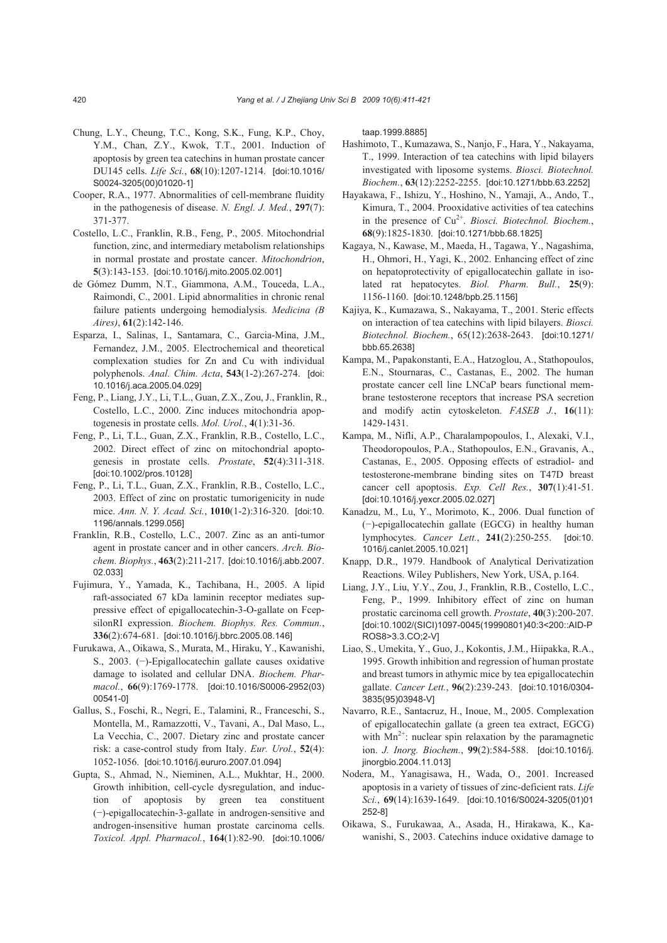- Chung, L.Y., Cheung, T.C., Kong, S.K., Fung, K.P., Choy, Y.M., Chan, Z.Y., Kwok, T.T., 2001. Induction of apoptosis by green tea catechins in human prostate cancer DU145 cells. *Life Sci.*, **68**(10):1207-1214. [doi:10.1016/ S0024-3205(00)01020-1]
- Cooper, R.A., 1977. Abnormalities of cell-membrane fluidity in the pathogenesis of disease. *N. Engl. J. Med.*, **297**(7): 371-377.
- Costello, L.C., Franklin, R.B., Feng, P., 2005. Mitochondrial function, zinc, and intermediary metabolism relationships in normal prostate and prostate cancer. *Mitochondrion*, **5**(3):143-153. [doi:10.1016/j.mito.2005.02.001]
- de Gómez Dumm, N.T., Giammona, A.M., Touceda, L.A., Raimondi, C., 2001. Lipid abnormalities in chronic renal failure patients undergoing hemodialysis. *Medicina (B Aires)*, **61**(2):142-146.
- Esparza, I., Salinas, I., Santamara, C., Garcia-Mina, J.M., Fernandez, J.M., 2005. Electrochemical and theoretical complexation studies for Zn and Cu with individual polyphenols. *Anal. Chim. Acta*, **543**(1-2):267-274. [doi: 10.1016/j.aca.2005.04.029]
- Feng, P., Liang, J.Y., Li, T.L., Guan, Z.X., Zou, J., Franklin, R., Costello, L.C., 2000. Zinc induces mitochondria apoptogenesis in prostate cells. *Mol. Urol.*, **4**(1):31-36.
- Feng, P., Li, T.L., Guan, Z.X., Franklin, R.B., Costello, L.C., 2002. Direct effect of zinc on mitochondrial apoptogenesis in prostate cells. *Prostate*, **52**(4):311-318. [doi:10.1002/pros.10128]
- Feng, P., Li, T.L., Guan, Z.X., Franklin, R.B., Costello, L.C., 2003. Effect of zinc on prostatic tumorigenicity in nude mice. *Ann. N. Y. Acad. Sci.*, **1010**(1-2):316-320. [doi:10. 1196/annals.1299.056]
- Franklin, R.B., Costello, L.C., 2007. Zinc as an anti-tumor agent in prostate cancer and in other cancers. *Arch. Biochem. Biophys.*, **463**(2):211-217. [doi:10.1016/j.abb.2007. 02.033]
- Fujimura, Y., Yamada, K., Tachibana, H., 2005. A lipid raft-associated 67 kDa laminin receptor mediates suppressive effect of epigallocatechin-3-O-gallate on FcepsilonRI expression. *Biochem. Biophys. Res. Commun.*, **336**(2):674-681. [doi:10.1016/j.bbrc.2005.08.146]
- Furukawa, A., Oikawa, S., Murata, M., Hiraku, Y., Kawanishi, S., 2003. (−)-Epigallocatechin gallate causes oxidative damage to isolated and cellular DNA. *Biochem. Pharmacol.*, **66**(9):1769-1778. [doi:10.1016/S0006-2952(03) 00541-0]
- Gallus, S., Foschi, R., Negri, E., Talamini, R., Franceschi, S., Montella, M., Ramazzotti, V., Tavani, A., Dal Maso, L., La Vecchia, C., 2007. Dietary zinc and prostate cancer risk: a case-control study from Italy. *Eur. Urol.*, **52**(4): 1052-1056. [doi:10.1016/j.eururo.2007.01.094]
- Gupta, S., Ahmad, N., Nieminen, A.L., Mukhtar, H., 2000. Growth inhibition, cell-cycle dysregulation, and induction of apoptosis by green tea constituent (−)-epigallocatechin-3-gallate in androgen-sensitive and androgen-insensitive human prostate carcinoma cells. *Toxicol. Appl. Pharmacol.*, **164**(1):82-90. [doi:10.1006/

taap.1999.8885]

- Hashimoto, T., Kumazawa, S., Nanjo, F., Hara, Y., Nakayama, T., 1999. Interaction of tea catechins with lipid bilayers investigated with liposome systems. *Biosci. Biotechnol. Biochem.*, **63**(12):2252-2255. [doi:10.1271/bbb.63.2252]
- Hayakawa, F., Ishizu, Y., Hoshino, N., Yamaji, A., Ando, T., Kimura, T., 2004. Prooxidative activities of tea catechins in the presence of Cu<sup>2+</sup>. *Biosci. Biotechnol. Biochem.*, **68**(9):1825-1830. [doi:10.1271/bbb.68.1825]
- Kagaya, N., Kawase, M., Maeda, H., Tagawa, Y., Nagashima, H., Ohmori, H., Yagi, K., 2002. Enhancing effect of zinc on hepatoprotectivity of epigallocatechin gallate in isolated rat hepatocytes. *Biol. Pharm. Bull.*, **25**(9): 1156-1160. [doi:10.1248/bpb.25.1156]
- Kajiya, K., Kumazawa, S., Nakayama, T., 2001. Steric effects on interaction of tea catechins with lipid bilayers. *Biosci. Biotechnol. Biochem.*, 65(12):2638-2643. [doi:10.1271/ bbb.65.2638]
- Kampa, M., Papakonstanti, E.A., Hatzoglou, A., Stathopoulos, E.N., Stournaras, C., Castanas, E., 2002. The human prostate cancer cell line LNCaP bears functional membrane testosterone receptors that increase PSA secretion and modify actin cytoskeleton. *FASEB J.*, **16**(11): 1429-1431.
- Kampa, M., Nifli, A.P., Charalampopoulos, I., Alexaki, V.I., Theodoropoulos, P.A., Stathopoulos, E.N., Gravanis, A., Castanas, E., 2005. Opposing effects of estradiol- and testosterone-membrane binding sites on T47D breast cancer cell apoptosis. *Exp. Cell Res.*, **307**(1):41-51. [doi:10.1016/j.yexcr.2005.02.027]
- Kanadzu, M., Lu, Y., Morimoto, K., 2006. Dual function of (−)-epigallocatechin gallate (EGCG) in healthy human lymphocytes. *Cancer Lett.*, **241**(2):250-255. [doi:10. 1016/j.canlet.2005.10.021]
- Knapp, D.R., 1979. Handbook of Analytical Derivatization Reactions. Wiley Publishers, New York, USA, p.164.
- Liang, J.Y., Liu, Y.Y., Zou, J., Franklin, R.B., Costello, L.C., Feng, P., 1999. Inhibitory effect of zinc on human prostatic carcinoma cell growth. *Prostate*, **40**(3):200-207. [doi:10.1002/(SICI)1097-0045(19990801)40:3<200::AID-P ROS8>3.3.CO;2-V]
- Liao, S., Umekita, Y., Guo, J., Kokontis, J.M., Hiipakka, R.A., 1995. Growth inhibition and regression of human prostate and breast tumors in athymic mice by tea epigallocatechin gallate. *Cancer Lett.*, **96**(2):239-243. [doi:10.1016/0304- 3835(95)03948-V]
- Navarro, R.E., Santacruz, H., Inoue, M., 2005. Complexation of epigallocatechin gallate (a green tea extract, EGCG) with  $Mn^{2+}$ : nuclear spin relaxation by the paramagnetic ion. *J. Inorg. Biochem.*, **99**(2):584-588. [doi:10.1016/j. jinorgbio.2004.11.013]
- Nodera, M., Yanagisawa, H., Wada, O., 2001. Increased apoptosis in a variety of tissues of zinc-deficient rats. *Life Sci.*, **69**(14):1639-1649. [doi:10.1016/S0024-3205(01)01 252-8]
- Oikawa, S., Furukawaa, A., Asada, H., Hirakawa, K., Kawanishi, S., 2003. Catechins induce oxidative damage to